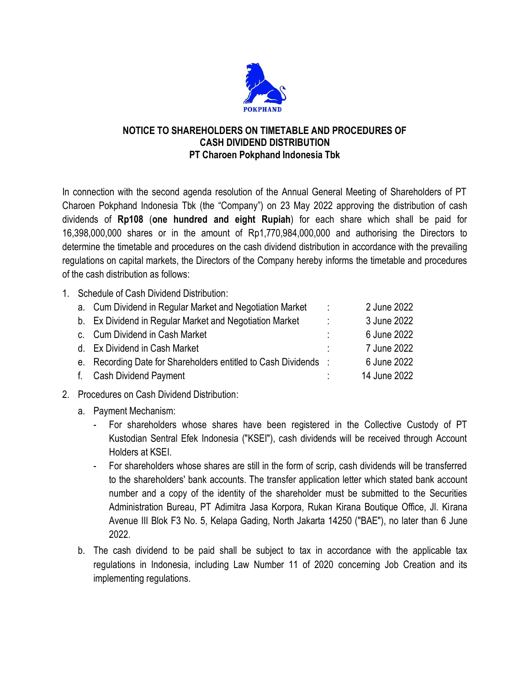

## **NOTICE TO SHAREHOLDERS ON TIMETABLE AND PROCEDURES OF CASH DIVIDEND DISTRIBUTION PT Charoen Pokphand Indonesia Tbk**

In connection with the second agenda resolution of the Annual General Meeting of Shareholders of PT Charoen Pokphand Indonesia Tbk (the "Company") on 23 May 2022 approving the distribution of cash dividends of **Rp108** (**one hundred and eight Rupiah**) for each share which shall be paid for 16,398,000,000 shares or in the amount of Rp1,770,984,000,000 and authorising the Directors to determine the timetable and procedures on the cash dividend distribution in accordance with the prevailing regulations on capital markets, the Directors of the Company hereby informs the timetable and procedures of the cash distribution as follows:

1. Schedule of Cash Dividend Distribution:

| a. Cum Dividend in Regular Market and Negotiation Market        | $\mathbb{R}^2$ | 2 June 2022  |
|-----------------------------------------------------------------|----------------|--------------|
| b. Ex Dividend in Regular Market and Negotiation Market         | ÷.             | 3 June 2022  |
| c. Cum Dividend in Cash Market                                  | ٠              | 6 June 2022  |
| d. Ex Dividend in Cash Market                                   | ٠              | 7 June 2022  |
| e. Recording Date for Shareholders entitled to Cash Dividends : |                | 6 June 2022  |
| f. Cash Dividend Payment                                        |                | 14 June 2022 |

- 2. Procedures on Cash Dividend Distribution:
	- a. Payment Mechanism:
		- For shareholders whose shares have been registered in the Collective Custody of PT Kustodian Sentral Efek Indonesia ("KSEI"), cash dividends will be received through Account Holders at KSEI.
		- For shareholders whose shares are still in the form of scrip, cash dividends will be transferred to the shareholders' bank accounts. The transfer application letter which stated bank account number and a copy of the identity of the shareholder must be submitted to the Securities Administration Bureau, PT Adimitra Jasa Korpora, Rukan Kirana Boutique Office, Jl. Kirana Avenue III Blok F3 No. 5, Kelapa Gading, North Jakarta 14250 ("BAE"), no later than 6 June 2022.
	- b. The cash dividend to be paid shall be subject to tax in accordance with the applicable tax regulations in Indonesia, including Law Number 11 of 2020 concerning Job Creation and its implementing regulations.